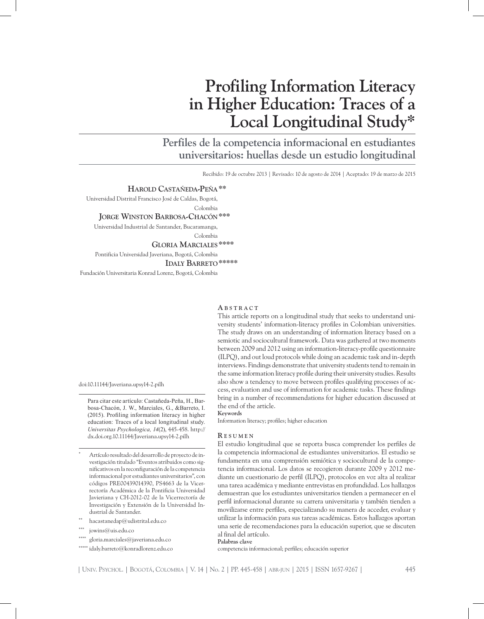# **Profiling Information Literacy in Higher Education: Traces of a Local Longitudinal Study\***

**Perfiles de la competencia informacional en estudiantes universitarios: huellas desde un estudio longitudinal**

Recibido: 19 de octubre 2013 | Revisado: 10 de agosto de 2014 | Aceptado: 19 de marzo de 2015

#### **Harold Castañeda-Peña\*\***

Universidad Distrital Francisco José de Caldas, Bogotá, Colombia **Jorge Winston Barbosa-Chacón\*\*\***

Universidad Industrial de Santander, Bucaramanga, Colombia

 **Gloria Marciales\*\*\*\***

Pontificia Universidad Javeriana, Bogotá, Colombia

 **Idaly Barreto\*\*\*\*\***

Fundación Universitaria Konrad Lorenz, Bogotá, Colombia

Para citar este artículo: Castañeda-Peña, H., Bar-

education: Traces of a local longitudinal study. *Universitas Psychologica, 14*(2), 445-458. http:// dx.doi.org.10.11144/Javeriana.upsy14-2.pilh

Artículo resultado del desarrollo de proyecto de investigación titulado "Eventos atribuidos como significativos en la reconfiguración de la competencia informacional por estudiantes universitarios", con códigos PRE00439014390, PS4663 de la Vicerrectoría Académica de la Pontificia Universidad Javieriana y CH-2012-02 de la Vicerrectoría de Investigación y Extensión de la Universidad In-

#### **A b s t r a c t**

This article reports on a longitudinal study that seeks to understand university students' information-literacy profiles in Colombian universities. The study draws on an understanding of information literacy based on a semiotic and sociocultural framework. Data was gathered at two moments between 2009 and 2012 using an information-literacy-profile questionnaire (ILPQ), and out loud protocols while doing an academic task and in-depth interviews. Findings demonstrate that university students tend to remain in the same information literacy profile during their university studies. Results also show a tendency to move between profiles qualifying processes of access, evaluation and use of information for academic tasks. These findings bring in a number of recommendations for higher education discussed at the end of the article.

**Keywords** bosa-Chacón, J. W., Marciales, G., &Barreto, I. (2015). Profiling information literacy in higher

Information literacy; profiles; higher education

#### **R e s u m e n**

El estudio longitudinal que se reporta busca comprender los perfiles de la competencia informacional de estudiantes universitarios. El estudio se fundamenta en una comprensión semiótica y sociocultural de la competencia informacional. Los datos se recogieron durante 2009 y 2012 mediante un cuestionario de perfil (ILPQ), protocolos en voz alta al realizar una tarea académica y mediante entrevistas en profundidad. Los hallazgos demuestran que los estudiantes universitarios tienden a permanecer en el perfil informacional durante su carrera universitaria y también tienden a movilizarse entre perfiles, especializando su manera de acceder, evaluar y utilizar la información para sus tareas académicas. Estos hallazgos aportan una serie de recomendaciones para la educación superior, que se discuten al final del artículo.

\*\*\*\* gloria.marciales@javeriana.edu.co

 $hacastanedap@udistrital.edu.co$ 

dustrial de Santander.

jowins@uis.edu.co

doi:10.11144/Javeriana.upsy14-2.pilh

\*\*\*\*\* idaly.barreto@konradlorenz.edu.co

**Palabras clave**

competencia informacional; perfiles; educación superior

Univ. Psychol. Bogotá, Colombia V. 14 No. 2 PP. 445-458 abr-jun 2015 ISSN 1657-9267 445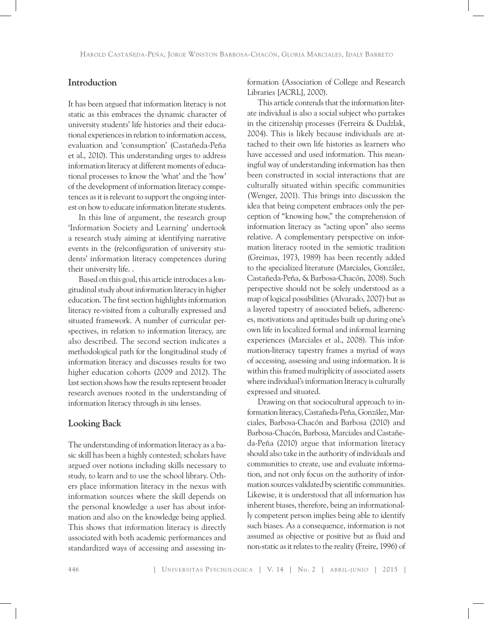# **Introduction**

It has been argued that information literacy is not static as this embraces the dynamic character of university students' life histories and their educational experiences in relation to information access, evaluation and 'consumption' (Castañeda-Peña et al., 2010). This understanding urges to address information literacy at different moments of educational processes to know the 'what' and the 'how' of the development of information literacy competences as it is relevant to support the ongoing interest on how to educate information literate students.

In this line of argument, the research group 'Information Society and Learning' undertook a research study aiming at identifying narrative events in the (re)configuration of university students' information literacy competences during their university life. .

Based on this goal, this article introduces a longitudinal study about information literacy in higher education. The first section highlights information literacy re-visited from a culturally expressed and situated framework. A number of curricular perspectives, in relation to information literacy, are also described. The second section indicates a methodological path for the longitudinal study of information literacy and discusses results for two higher education cohorts (2009 and 2012). The last section shows how the results represent broader research avenues rooted in the understanding of information literacy through *in situ* lenses.

# **Looking Back**

The understanding of information literacy as a basic skill has been a highly contested; scholars have argued over notions including skills necessary to study, to learn and to use the school library. Others place information literacy in the nexus with information sources where the skill depends on the personal knowledge a user has about information and also on the knowledge being applied. This shows that information literacy is directly associated with both academic performances and standardized ways of accessing and assessing information (Association of College and Research Libraries [ACRL], 2000).

This article contends that the information literate individual is also a social subject who partakes in the citizenship processes (Ferreira & Dudzlak, 2004). This is likely because individuals are attached to their own life histories as learners who have accessed and used information. This meaningful way of understanding information has then been constructed in social interactions that are culturally situated within specific communities (Wenger, 2001). This brings into discussion the idea that being competent embraces only the perception of "knowing how," the comprehension of information literacy as "acting upon" also seems relative. A complementary perspective on information literacy rooted in the semiotic tradition (Greimas, 1973, 1989) has been recently added to the specialized literature (Marciales, González, Castañeda-Peña, & Barbosa-Chacón, 2008). Such perspective should not be solely understood as a map of logical possibilities (Alvarado, 2007) but as a layered tapestry of associated beliefs, adherences, motivations and aptitudes built up during one's own life in localized formal and informal learning experiences (Marciales et al., 2008). This information-literacy tapestry frames a myriad of ways of accessing, assessing and using information. It is within this framed multiplicity of associated assets where individual's information literacy is culturally expressed and situated.

Drawing on that sociocultural approach to information literacy, Castañeda-Peña, González, Marciales, Barbosa-Chacón and Barbosa (2010) and Barbosa-Chacón, Barbosa, Marciales and Castañeda-Peña (2010) argue that information literacy should also take in the authority of individuals and communities to create, use and evaluate information, and not only focus on the authority of information sources validated by scientific communities. Likewise, it is understood that all information has inherent biases, therefore, being an informationally competent person implies being able to identify such biases. As a consequence, information is not assumed as objective or positive but as fluid and non-static as it relates to the reality (Freire, 1996) of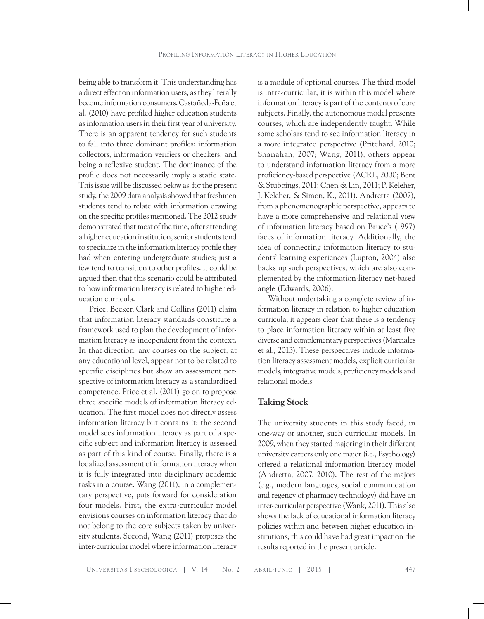being able to transform it. This understanding has a direct effect on information users, as they literally become information consumers. Castañeda-Peña et al. (2010) have profiled higher education students as information users in their first year of university. There is an apparent tendency for such students to fall into three dominant profiles: information collectors, information verifiers or checkers, and being a reflexive student. The dominance of the profile does not necessarily imply a static state. This issue will be discussed below as, for the present study, the 2009 data analysis showed that freshmen students tend to relate with information drawing on the specific profiles mentioned. The 2012 study demonstrated that most of the time, after attending a higher education institution, senior students tend to specialize in the information literacy profile they had when entering undergraduate studies; just a few tend to transition to other profiles. It could be argued then that this scenario could be attributed to how information literacy is related to higher education curricula.

Price, Becker, Clark and Collins (2011) claim that information literacy standards constitute a framework used to plan the development of information literacy as independent from the context. In that direction, any courses on the subject, at any educational level, appear not to be related to specific disciplines but show an assessment perspective of information literacy as a standardized competence. Price et al. (2011) go on to propose three specific models of information literacy education. The first model does not directly assess information literacy but contains it; the second model sees information literacy as part of a specific subject and information literacy is assessed as part of this kind of course. Finally, there is a localized assessment of information literacy when it is fully integrated into disciplinary academic tasks in a course. Wang (2011), in a complementary perspective, puts forward for consideration four models. First, the extra-curricular model envisions courses on information literacy that do not belong to the core subjects taken by university students. Second, Wang (2011) proposes the inter-curricular model where information literacy

is a module of optional courses. The third model is intra-curricular; it is within this model where information literacy is part of the contents of core subjects. Finally, the autonomous model presents courses, which are independently taught. While some scholars tend to see information literacy in a more integrated perspective (Pritchard, 2010; Shanahan, 2007; Wang, 2011), others appear to understand information literacy from a more proficiency-based perspective (ACRL, 2000; Bent & Stubbings, 2011; Chen & Lin, 2011; P. Keleher, J. Keleher, & Simon, K., 2011). Andretta (2007), from a phenomenographic perspective, appears to have a more comprehensive and relational view of information literacy based on Bruce's (1997) faces of information literacy. Additionally, the idea of connecting information literacy to students' learning experiences (Lupton, 2004) also backs up such perspectives, which are also complemented by the information-literacy net-based angle (Edwards, 2006).

Without undertaking a complete review of information literacy in relation to higher education curricula, it appears clear that there is a tendency to place information literacy within at least five diverse and complementary perspectives (Marciales et al., 2013). These perspectives include information literacy assessment models, explicit curricular models, integrative models, proficiency models and relational models.

# **Taking Stock**

The university students in this study faced, in one-way or another, such curricular models. In 2009, when they started majoring in their different university careers only one major (i.e., Psychology) offered a relational information literacy model (Andretta, 2007, 2010). The rest of the majors (e.g., modern languages, social communication and regency of pharmacy technology) did have an inter-curricular perspective (Wank, 2011). This also shows the lack of educational information literacy policies within and between higher education institutions; this could have had great impact on the results reported in the present article.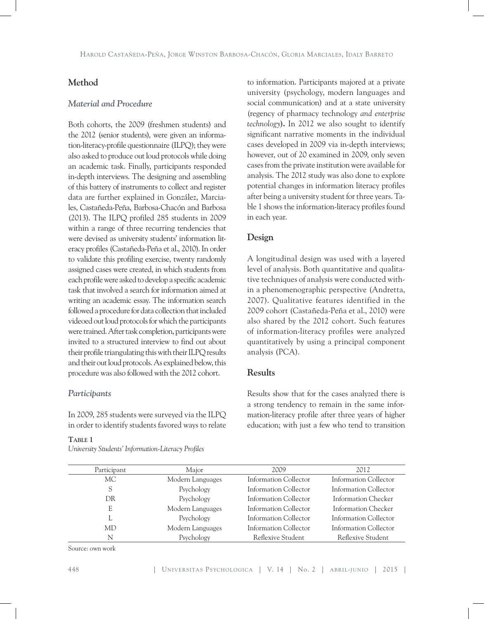# **Method**

# *Material and Procedure*

Both cohorts, the 2009 (freshmen students) and the 2012 (senior students), were given an information-literacy-profile questionnaire (ILPQ); they were also asked to produce out loud protocols while doing an academic task. Finally, participants responded in-depth interviews. The designing and assembling of this battery of instruments to collect and register data are further explained in González, Marciales, Castañeda-Peña, Barbosa-Chacón and Barbosa (2013). The ILPQ profiled 285 students in 2009 within a range of three recurring tendencies that were devised as university students' information literacy profiles (Castañeda-Peña et al., 2010). In order to validate this profiling exercise, twenty randomly assigned cases were created, in which students from each profile were asked to develop a specific academic task that involved a search for information aimed at writing an academic essay. The information search followed a procedure for data collection that included videoed out loud protocols for which the participants were trained. After task completion, participants were invited to a structured interview to find out about their profile triangulating this with their ILPQ results and their out loud protocols. As explained below, this procedure was also followed with the 2012 cohort.

### *Participants*

In 2009, 285 students were surveyed via the ILPQ in order to identify students favored ways to relate

### **Table 1**

*University Students' Information-Literacy Profiles*

to information. Participants majored at a private university (psychology, modern languages and social communication) and at a state university (regency of pharmacy technology *and enterprise technology***).** In 2012 we also sought to identify significant narrative moments in the individual cases developed in 2009 via in-depth interviews; however, out of 20 examined in 2009, only seven cases from the private institution were available for analysis. The 2012 study was also done to explore potential changes in information literacy profiles after being a university student for three years. Table 1 shows the information-literacy profiles found in each year.

# **Design**

A longitudinal design was used with a layered level of analysis. Both quantitative and qualitative techniques of analysis were conducted within a phenomenographic perspective (Andretta, 2007). Qualitative features identified in the 2009 cohort (Castañeda-Peña et al., 2010) were also shared by the 2012 cohort. Such features of information-literacy profiles were analyzed quantitatively by using a principal component analysis (PCA).

# **Results**

Results show that for the cases analyzed there is a strong tendency to remain in the same information-literacy profile after three years of higher education; with just a few who tend to transition

| Participant | Major            | 2009                  | 2012                  |
|-------------|------------------|-----------------------|-----------------------|
| MC.         | Modern Languages | Information Collector | Information Collector |
| S           | Psychology       | Information Collector | Information Collector |
| DR          | Psychology       | Information Collector | Information Checker   |
| E           | Modern Languages | Information Collector | Information Checker   |
|             | Psychology       | Information Collector | Information Collector |
| MD          | Modern Languages | Information Collector | Information Collector |
| N           | Psychology       | Reflexive Student     | Reflexive Student     |

Source: own work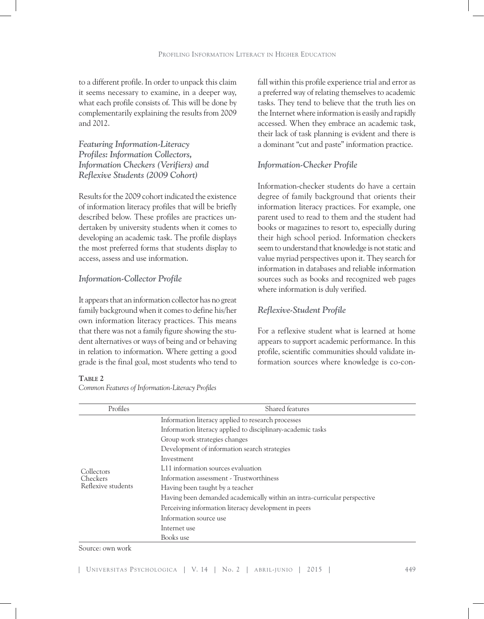to a different profile. In order to unpack this claim it seems necessary to examine, in a deeper way, what each profile consists of. This will be done by complementarily explaining the results from 2009 and 2012.

*Featuring Information-Literacy Profiles: Information Collectors, Information Checkers (Verifiers) and Reflexive Students (2009 Cohort)*

Results for the 2009 cohort indicated the existence of information literacy profiles that will be briefly described below. These profiles are practices undertaken by university students when it comes to developing an academic task. The profile displays the most preferred forms that students display to access, assess and use information.

# *Information-Collector Profile*

It appears that an information collector has no great family background when it comes to define his/her own information literacy practices. This means that there was not a family figure showing the student alternatives or ways of being and or behaving in relation to information. Where getting a good grade is the final goal, most students who tend to

TABLE 2

*Common Features of Information-Literacy Profiles*

fall within this profile experience trial and error as a preferred way of relating themselves to academic tasks. They tend to believe that the truth lies on the Internet where information is easily and rapidly accessed. When they embrace an academic task, their lack of task planning is evident and there is a dominant "cut and paste" information practice.

# *Information-Checker Profile*

Information-checker students do have a certain degree of family background that orients their information literacy practices. For example, one parent used to read to them and the student had books or magazines to resort to, especially during their high school period. Information checkers seem to understand that knowledge is not static and value myriad perspectives upon it. They search for information in databases and reliable information sources such as books and recognized web pages where information is duly verified.

### *Reflexive-Student Profile*

For a reflexive student what is learned at home appears to support academic performance. In this profile, scientific communities should validate information sources where knowledge is co-con-

| Profiles                                     | Shared features                                                          |  |  |
|----------------------------------------------|--------------------------------------------------------------------------|--|--|
| Collectors<br>Checkers<br>Reflexive students | Information literacy applied to research processes                       |  |  |
|                                              | Information literacy applied to disciplinary-academic tasks              |  |  |
|                                              | Group work strategies changes                                            |  |  |
|                                              | Development of information search strategies                             |  |  |
|                                              | Investment                                                               |  |  |
|                                              | L11 information sources evaluation                                       |  |  |
|                                              | Information assessment - Trustworthiness                                 |  |  |
|                                              | Having been taught by a teacher                                          |  |  |
|                                              | Having been demanded academically within an intra-curricular perspective |  |  |
|                                              | Perceiving information literacy development in peers                     |  |  |
|                                              | Information source use                                                   |  |  |
|                                              | Internet use                                                             |  |  |
|                                              | Books use                                                                |  |  |

#### Source: own work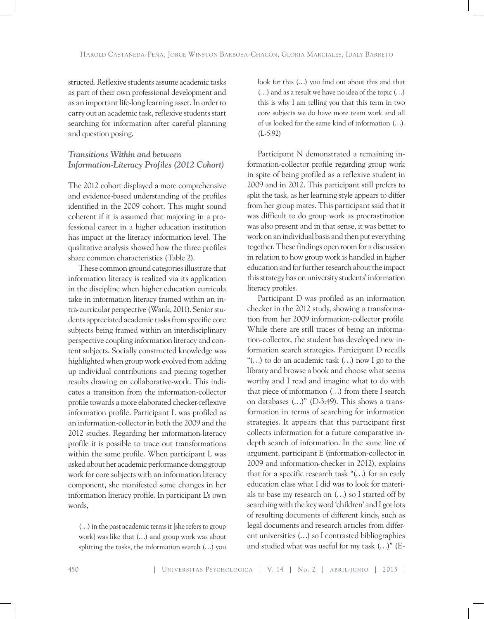structed. Reflexive students assume academic tasks as part of their own professional development and as an important life-long learning asset. In order to carry out an academic task, reflexive students start searching for information after careful planning and question posing.

# *Transitions Within and between Information-Literacy Profiles (2012 Cohort)*

The 2012 cohort displayed a more comprehensive and evidence-based understanding of the profiles identified in the 2009 cohort. This might sound coherent if it is assumed that majoring in a professional career in a higher education institution has impact at the literacy information level. The qualitative analysis showed how the three profiles share common characteristics (Table 2).

These common ground categories illustrate that information literacy is realized via its application in the discipline when higher education curricula take in information literacy framed within an intra-curricular perspective (Wank, 2011). Senior students appreciated academic tasks from specific core subjects being framed within an interdisciplinary perspective coupling information literacy and content subjects. Socially constructed knowledge was highlighted when group work evolved from adding up individual contributions and piecing together results drawing on collaborative-work. This indicates a transition from the information-collector profile towards a more elaborated checker-reflexive information profile. Participant L was profiled as an information-collector in both the 2009 and the 2012 studies. Regarding her information-literacy profile it is possible to trace out transformations within the same profile. When participant L was asked about her academic performance doing group work for core subjects with an information literacy component, she manifested some changes in her information literacy profile. In participant L's own words,

(…) in the past academic terms it [she refers to group work] was like that (…) and group work was about splitting the tasks, the information search (…) you

look for this (…) you find out about this and that (…) and as a result we have no idea of the topic (…) this is why I am telling you that this term in two core subjects we do have more team work and all of us looked for the same kind of information (…). (L-5:92)

Participant N demonstrated a remaining information-collector profile regarding group work in spite of being profiled as a reflexive student in 2009 and in 2012. This participant still prefers to split the task, as her learning style appears to differ from her group mates. This participant said that it was difficult to do group work as procrastination was also present and in that sense, it was better to work on an individual basis and then put everything together. These findings open room for a discussion in relation to how group work is handled in higher education and for further research about the impact this strategy has on university students' information literacy profiles.

Participant D was profiled as an information checker in the 2012 study, showing a transformation from her 2009 information-collector profile. While there are still traces of being an information-collector, the student has developed new information search strategies. Participant D recalls "(…) to do an academic task (…) now I go to the library and browse a book and choose what seems worthy and I read and imagine what to do with that piece of information (…) from there I search on databases (…)" (D-3:49). This shows a transformation in terms of searching for information strategies. It appears that this participant first collects information for a future comparative indepth search of information. In the same line of argument, participant E (information-collector in 2009 and information-checker in 2012), explains that for a specific research task "(…) for an early education class what I did was to look for materials to base my research on (…) so I started off by searching with the key word 'children' and I got lots of resulting documents of different kinds, such as legal documents and research articles from different universities (…) so I contrasted bibliographies and studied what was useful for my task (…)" (E-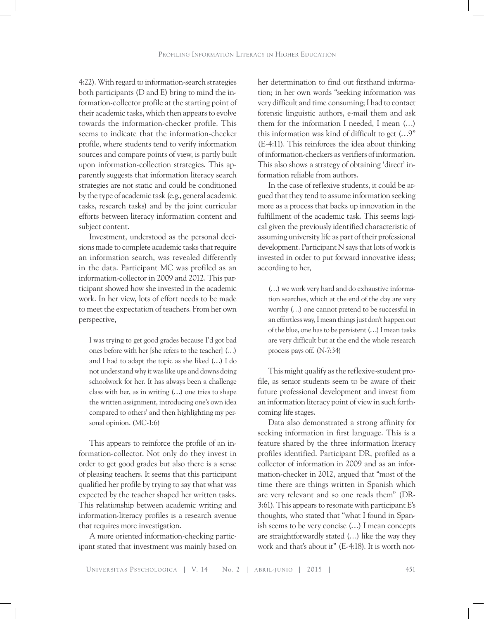4:22). With regard to information-search strategies both participants (D and E) bring to mind the information-collector profile at the starting point of their academic tasks, which then appears to evolve towards the information-checker profile. This seems to indicate that the information-checker profile, where students tend to verify information sources and compare points of view, is partly built upon information-collection strategies. This apparently suggests that information literacy search strategies are not static and could be conditioned by the type of academic task (e.g., general academic tasks, research tasks) and by the joint curricular efforts between literacy information content and subject content.

Investment, understood as the personal decisions made to complete academic tasks that require an information search, was revealed differently in the data. Participant MC was profiled as an information-collector in 2009 and 2012. This participant showed how she invested in the academic work. In her view, lots of effort needs to be made to meet the expectation of teachers. From her own perspective,

I was trying to get good grades because I'd got bad ones before with her [she refers to the teacher] (…) and I had to adapt the topic as she liked (…) I do not understand why it was like ups and downs doing schoolwork for her. It has always been a challenge class with her, as in writing (…) one tries to shape the written assignment, introducing one's own idea compared to others' and then highlighting my personal opinion. (MC-1:6)

This appears to reinforce the profile of an information-collector. Not only do they invest in order to get good grades but also there is a sense of pleasing teachers. It seems that this participant qualified her profile by trying to say that what was expected by the teacher shaped her written tasks. This relationship between academic writing and information-literacy profiles is a research avenue that requires more investigation.

A more oriented information-checking participant stated that investment was mainly based on her determination to find out firsthand information; in her own words "seeking information was very difficult and time consuming; I had to contact forensic linguistic authors, e-mail them and ask them for the information I needed, I mean (…) this information was kind of difficult to get (…9" (E-4:11). This reinforces the idea about thinking of information-checkers as verifiers of information. This also shows a strategy of obtaining 'direct' information reliable from authors.

In the case of reflexive students, it could be argued that they tend to assume information seeking more as a process that backs up innovation in the fulfillment of the academic task. This seems logical given the previously identified characteristic of assuming university life as part of their professional development. Participant N says that lots of work is invested in order to put forward innovative ideas; according to her,

(…) we work very hard and do exhaustive information searches, which at the end of the day are very worthy (…) one cannot pretend to be successful in an effortless way, I mean things just don't happen out of the blue, one has to be persistent (…) I mean tasks are very difficult but at the end the whole research process pays off. (N-7:34)

This might qualify as the reflexive-student profile, as senior students seem to be aware of their future professional development and invest from an information literacy point of view in such forthcoming life stages.

Data also demonstrated a strong affinity for seeking information in first language. This is a feature shared by the three information literacy profiles identified. Participant DR, profiled as a collector of information in 2009 and as an information-checker in 2012, argued that "most of the time there are things written in Spanish which are very relevant and so one reads them" (DR-3:61). This appears to resonate with participant E's thoughts, who stated that "what I found in Spanish seems to be very concise (…) I mean concepts are straightforwardly stated (…) like the way they work and that's about it" (E-4:18). It is worth not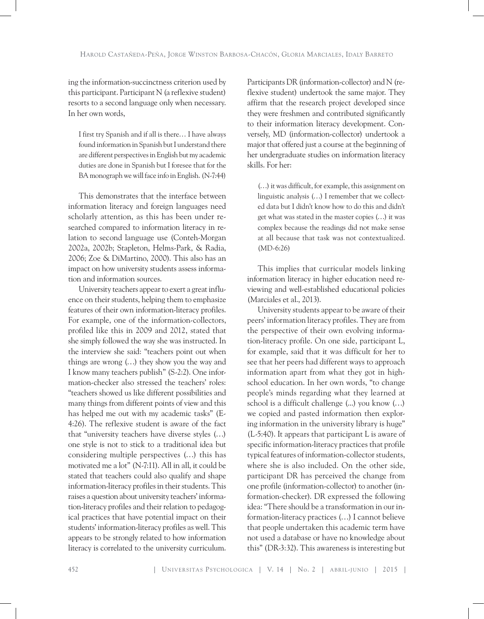ing the information-succinctness criterion used by this participant. Participant  $N$  (a reflexive student) resorts to a second language only when necessary. In her own words,

I first try Spanish and if all is there… I have always found information in Spanish but I understand there are different perspectives in English but my academic duties are done in Spanish but I foresee that for the BA monograph we will face info in English. (N-7:44)

This demonstrates that the interface between information literacy and foreign languages need scholarly attention, as this has been under researched compared to information literacy in relation to second language use (Conteh-Morgan 2002a, 2002b; Stapleton, Helms-Park, & Radia, 2006; Zoe & DiMartino, 2000). This also has an impact on how university students assess information and information sources.

University teachers appear to exert a great influence on their students, helping them to emphasize features of their own information-literacy profiles. For example, one of the information-collectors, profiled like this in 2009 and 2012, stated that she simply followed the way she was instructed. In the interview she said: "teachers point out when things are wrong (…) they show you the way and I know many teachers publish" (S-2:2). One information-checker also stressed the teachers' roles: "teachers showed us like different possibilities and many things from different points of view and this has helped me out with my academic tasks" (E-4:26). The reflexive student is aware of the fact that "university teachers have diverse styles (…) one style is not to stick to a traditional idea but considering multiple perspectives (…) this has motivated me a lot" (N-7:11). All in all, it could be stated that teachers could also qualify and shape information-literacy profiles in their students. This raises a question about university teachers' information-literacy profiles and their relation to pedagogical practices that have potential impact on their students' information-literacy profiles as well. This appears to be strongly related to how information literacy is correlated to the university curriculum.

Participants DR (information-collector) and N (reflexive student) undertook the same major. They affirm that the research project developed since they were freshmen and contributed significantly to their information literacy development. Conversely, MD (information-collector) undertook a major that offered just a course at the beginning of her undergraduate studies on information literacy skills. For her:

(…) it was difficult, for example, this assignment on linguistic analysis (…) I remember that we collected data but I didn't know how to do this and didn't get what was stated in the master copies (…) it was complex because the readings did not make sense at all because that task was not contextualized. (MD-6:26)

This implies that curricular models linking information literacy in higher education need reviewing and well-established educational policies (Marciales et al., 2013).

University students appear to be aware of their peers' information literacy profiles. They are from the perspective of their own evolving information-literacy profile. On one side, participant L, for example, said that it was difficult for her to see that her peers had different ways to approach information apart from what they got in highschool education. In her own words, "to change people's minds regarding what they learned at school is a difficult challenge (...) you know (…) we copied and pasted information then exploring information in the university library is huge" (L-5:40). It appears that participant L is aware of specific information-literacy practices that profile typical features of information-collector students, where she is also included. On the other side, participant DR has perceived the change from one profile (information-collector) to another (information-checker). DR expressed the following idea: "There should be a transformation in our information-literacy practices (…) I cannot believe that people undertaken this academic term have not used a database or have no knowledge about this" (DR-3:32). This awareness is interesting but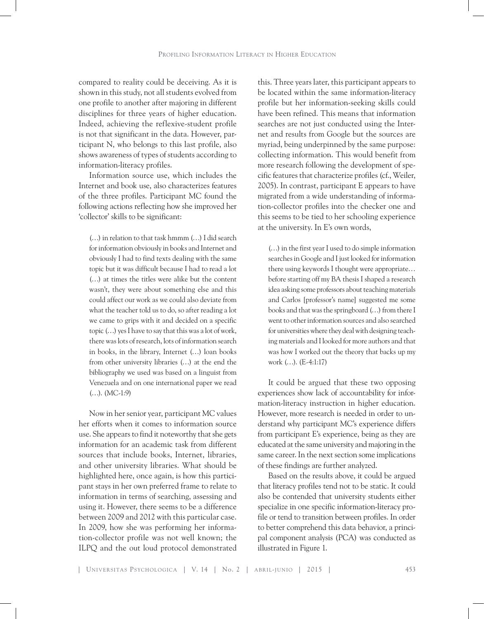compared to reality could be deceiving. As it is shown in this study, not all students evolved from one profile to another after majoring in different disciplines for three years of higher education. Indeed, achieving the reflexive-student profile is not that significant in the data. However, participant N, who belongs to this last profile, also shows awareness of types of students according to information-literacy profiles.

Information source use, which includes the Internet and book use, also characterizes features of the three profiles. Participant MC found the following actions reflecting how she improved her 'collector' skills to be significant:

(…) in relation to that task hmmm (…) I did search for information obviously in books and Internet and obviously I had to find texts dealing with the same topic but it was difficult because I had to read a lot (…) at times the titles were alike but the content wasn't, they were about something else and this could affect our work as we could also deviate from what the teacher told us to do, so after reading a lot we came to grips with it and decided on a specific topic (…) yes I have to say that this was a lot of work, there was lots of research, lots of information search in books, in the library, Internet (…) loan books from other university libraries (…) at the end the bibliography we used was based on a linguist from Venezuela and on one international paper we read (…). (MC-1:9)

Now in her senior year, participant MC values her efforts when it comes to information source use. She appears to find it noteworthy that she gets information for an academic task from different sources that include books, Internet, libraries, and other university libraries. What should be highlighted here, once again, is how this participant stays in her own preferred frame to relate to information in terms of searching, assessing and using it. However, there seems to be a difference between 2009 and 2012 with this particular case. In 2009, how she was performing her information-collector profile was not well known; the ILPQ and the out loud protocol demonstrated

this. Three years later, this participant appears to be located within the same information-literacy profile but her information-seeking skills could have been refined. This means that information searches are not just conducted using the Internet and results from Google but the sources are myriad, being underpinned by the same purpose: collecting information. This would benefit from more research following the development of specific features that characterize profiles (cf., Weiler, 2005). In contrast, participant E appears to have migrated from a wide understanding of information-collector profiles into the checker one and this seems to be tied to her schooling experience at the university. In E's own words,

(…) in the first year I used to do simple information searches in Google and I just looked for information there using keywords I thought were appropriate… before starting off my BA thesis I shaped a research idea asking some professors about teaching materials and Carlos [professor's name] suggested me some books and that was the springboard (…) from there I went to other information sources and also searched for universities where they deal with designing teaching materials and I looked for more authors and that was how I worked out the theory that backs up my work (…). (E-4:1:17)

It could be argued that these two opposing experiences show lack of accountability for information-literacy instruction in higher education. However, more research is needed in order to understand why participant MC's experience differs from participant E's experience, being as they are educated at the same university and majoring in the same career. In the next section some implications of these findings are further analyzed.

Based on the results above, it could be argued that literacy profiles tend not to be static. It could also be contended that university students either specialize in one specific information-literacy profile or tend to transition between profiles. In order to better comprehend this data behavior, a principal component analysis (PCA) was conducted as illustrated in Figure 1.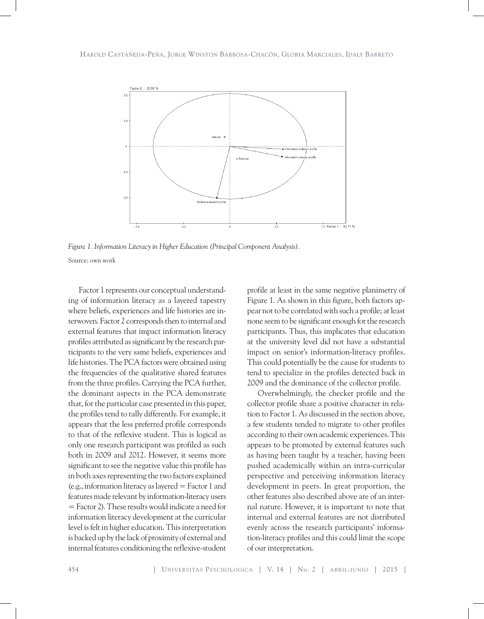

*Figure 1. Information Literacy in Higher Education (Principal Component Analysis).* Source: own work

Factor 1 represents our conceptual understanding of information literacy as a layered tapestry where beliefs, experiences and life histories are interwoven. Factor 2 corresponds then to internal and external features that impact information literacy profiles attributed as significant by the research participants to the very same beliefs, experiences and life histories. The PCA factors were obtained using the frequencies of the qualitative shared features from the three profiles. Carrying the PCA further, the dominant aspects in the PCA demonstrate that, for the particular case presented in this paper, the profiles tend to tally differently. For example, it appears that the less preferred profile corresponds to that of the reflexive student. This is logical as only one research participant was profiled as such both in 2009 and 2012. However, it seems more significant to see the negative value this profile has in both axes representing the two factors explained (e.g., information literacy as layered = Factor 1 and features made relevant by information-literacy users = Factor 2). These results would indicate a need for information literacy development at the curricular level is felt in higher education. This interpretation is backed up by the lack of proximity of external and internal features conditioning the reflexive-student

profile at least in the same negative planimetry of Figure 1. As shown in this figure, both factors appear not to be correlated with such a profile; at least none seem to be significant enough for the research participants. Thus, this implicates that education at the university level did not have a substantial impact on senior's information-literacy profiles. This could potentially be the cause for students to tend to specialize in the profiles detected back in 2009 and the dominance of the collector profile.

Overwhelmingly, the checker profile and the collector profile share a positive character in relation to Factor 1. As discussed in the section above, a few students tended to migrate to other profiles according to their own academic experiences. This appears to be promoted by external features such as having been taught by a teacher, having been pushed academically within an intra-curricular perspective and perceiving information literacy development in peers. In great proportion, the other features also described above are of an internal nature. However, it is important to note that internal and external features are not distributed evenly across the research participants' information-literacy profiles and this could limit the scope of our interpretation.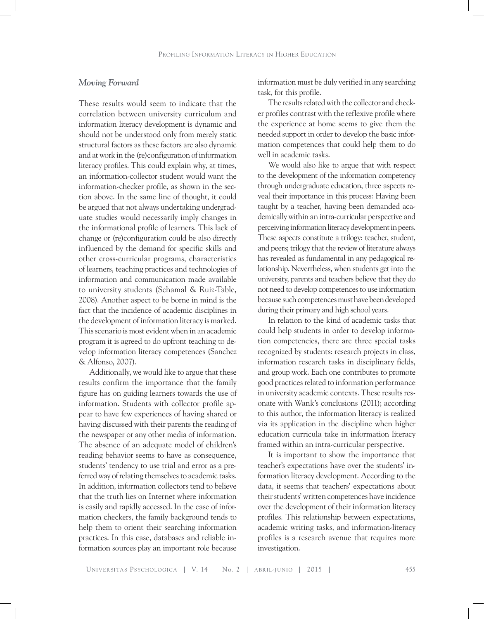# *Moving Forward*

These results would seem to indicate that the correlation between university curriculum and information literacy development is dynamic and should not be understood only from merely static structural factors as these factors are also dynamic and at work in the (re)configuration of information literacy profiles. This could explain why, at times, an information-collector student would want the information-checker profile, as shown in the section above. In the same line of thought, it could be argued that not always undertaking undergraduate studies would necessarily imply changes in the informational profile of learners. This lack of change or (re)configuration could be also directly influenced by the demand for specific skills and other cross-curricular programs, characteristics of learners, teaching practices and technologies of information and communication made available to university students (Schamal & Ruiz-Table, 2008). Another aspect to be borne in mind is the fact that the incidence of academic disciplines in the development of information literacy is marked. This scenario is most evident when in an academic program it is agreed to do upfront teaching to develop information literacy competences (Sanchez & Alfonso, 2007).

Additionally, we would like to argue that these results confirm the importance that the family figure has on guiding learners towards the use of information. Students with collector profile appear to have few experiences of having shared or having discussed with their parents the reading of the newspaper or any other media of information. The absence of an adequate model of children's reading behavior seems to have as consequence, students' tendency to use trial and error as a preferred way of relating themselves to academic tasks. In addition, information collectors tend to believe that the truth lies on Internet where information is easily and rapidly accessed. In the case of information checkers, the family background tends to help them to orient their searching information practices. In this case, databases and reliable information sources play an important role because

information must be duly verified in any searching task, for this profile.

The results related with the collector and checker profiles contrast with the reflexive profile where the experience at home seems to give them the needed support in order to develop the basic information competences that could help them to do well in academic tasks.

We would also like to argue that with respect to the development of the information competency through undergraduate education, three aspects reveal their importance in this process: Having been taught by a teacher, having been demanded academically within an intra-curricular perspective and perceiving information literacy development in peers. These aspects constitute a trilogy: teacher, student, and peers; trilogy that the review of literature always has revealed as fundamental in any pedagogical relationship. Nevertheless, when students get into the university, parents and teachers believe that they do not need to develop competences to use information because such competences must have been developed during their primary and high school years.

In relation to the kind of academic tasks that could help students in order to develop information competencies, there are three special tasks recognized by students: research projects in class, information research tasks in disciplinary fields, and group work. Each one contributes to promote good practices related to information performance in university academic contexts. These results resonate with Wank's conclusions (2011); according to this author, the information literacy is realized via its application in the discipline when higher education curricula take in information literacy framed within an intra-curricular perspective.

It is important to show the importance that teacher's expectations have over the students' information literacy development. According to the data, it seems that teachers' expectations about their students' written competences have incidence over the development of their information literacy profiles. This relationship between expectations, academic writing tasks, and information-literacy profiles is a research avenue that requires more investigation.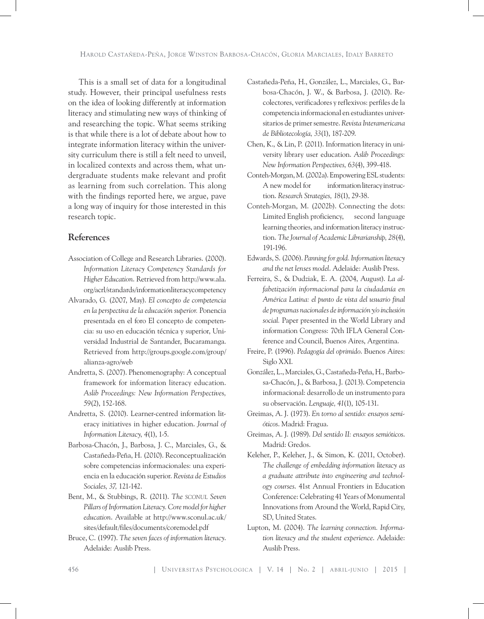This is a small set of data for a longitudinal study. However, their principal usefulness rests on the idea of looking differently at information literacy and stimulating new ways of thinking of and researching the topic. What seems striking is that while there is a lot of debate about how to integrate information literacy within the university curriculum there is still a felt need to unveil, in localized contexts and across them, what undergraduate students make relevant and profit as learning from such correlation. This along with the findings reported here, we argue, pave a long way of inquiry for those interested in this research topic.

# **References**

- Association of College and Research Libraries. (2000). *Information Literacy Competency Standards for Higher Education*. Retrieved from http://www.ala. org/acrl/standards/informationliteracycompetency
- Alvarado, G. (2007, May). *El concepto de competencia en la perspectiva de la educación superior.* Ponencia presentada en el foro El concepto de competencia: su uso en educación técnica y superior, Universidad Industrial de Santander, Bucaramanga. Retrieved from http://groups.google.com/group/ alianza-agro/web
- Andretta, S. (2007). Phenomenography: A conceptual framework for information literacy education. *Aslib Proceedings: New Information Perspective*s*, 59*(2), 152-168.
- Andretta, S. (2010). Learner-centred information literacy initiatives in higher education. *Journal of Information Literacy, 4*(1), 1-5.
- Barbosa-Chacón, J., Barbosa, J. C., Marciales, G., & Castañeda-Peña, H. (2010). Reconceptualización sobre competencias informacionales: una experiencia en la educación superior. *Revista de Estudios Sociales, 37,* 121-142.
- Bent, M., & Stubbings, R. (2011). *The sconul Seven Pillars of Information Literacy. Core model for higher education*. Available at http://www.sconul.ac.uk/ sites/default/files/documents/coremodel.pdf
- Bruce, C. (1997). *The seven faces of information literacy*. Adelaide: Auslib Press.
- Castañeda-Peña, H., González, L., Marciales, G., Barbosa-Chacón, J. W., & Barbosa, J. (2010). Recolectores, verificadores y reflexivos: perfiles de la competencia informacional en estudiantes universitarios de primer semestre. *Revista Interamericana de Bibliotecología, 33*(1), 187-209.
- Chen, K., & Lin, P. (2011). Information literacy in university library user education. *Aslib Proceedings: New Information Perspectives, 63*(4), 399-418.
- Conteh-Morgan, M. (2002a). Empowering ESL students: A new model for information literacy instruction. *Research Strategies, 18*(1), 29-38.
- Conteh-Morgan, M. (2002b). Connecting the dots: Limited English proficiency, second language learning theories, and information literacy instruction. *The Journal of Academic Librarianship, 28*(4), 191-196.
- Edwards, S. (2006). *Panning for gold. Information literacy and the net lenses model*. Adelaide: Auslib Press.
- Ferreira, S., & Dudziak, E. A. (2004, August). *La alfabetización informacional para la ciudadanía en América Latina: el punto de vista del usuario final de programas nacionales de información y/o inclusión social.* Paper presented in the World Library and information Congress: 70th IFLA General Conference and Council, Buenos Aires, Argentina.
- Freire, P. (1996). *Pedagogía del oprimido*. Buenos Aires: Siglo XXI.
- González, L., Marciales, G., Castañeda-Peña, H., Barbosa-Chacón, J., & Barbosa, J. (2013). Competencia informacional: desarrollo de un instrumento para su observación. *Lenguaje, 41*(1), 105-131.
- Greimas, A. J. (1973). *En torno al sentido: ensayos semióticos*. Madrid: Fragua.
- Greimas, A. J. (1989). *Del sentido II: ensayos semióticos*. Madrid: Gredos.
- Keleher, P., Keleher, J., & Simon, K. (2011, October). *The challenge of embedding information literacy as a graduate attribute into engineering and technology courses*. 41st Annual Frontiers in Education Conference: Celebrating 41 Years of Monumental Innovations from Around the World, Rapid City, SD, United States.
- Lupton, M. (2004). *The learning connection. Information literacy and the student experience*. Adelaide: Auslib Press.